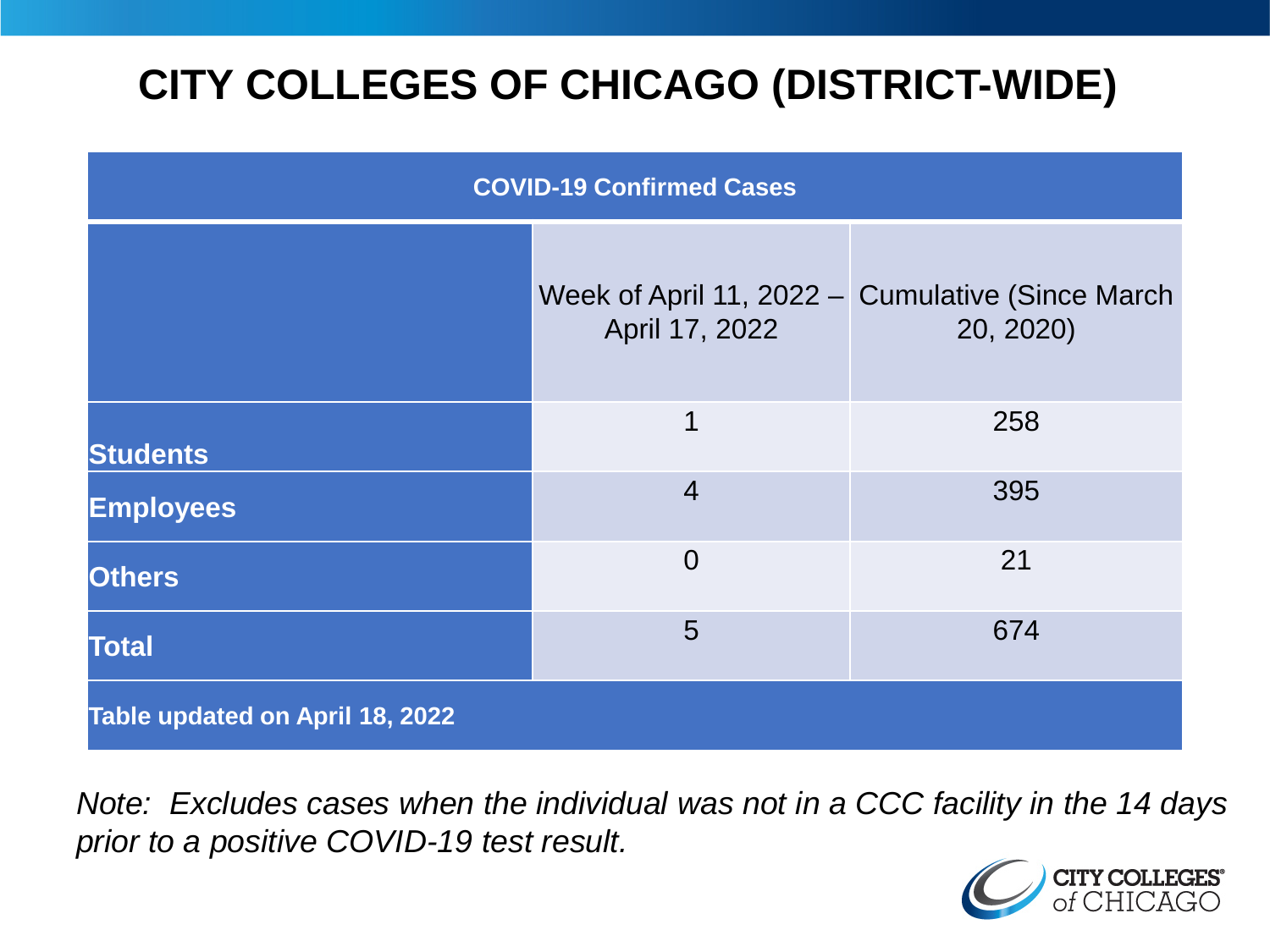# **CITY COLLEGES OF CHICAGO (DISTRICT-WIDE)**

| <b>COVID-19 Confirmed Cases</b> |                |                                                               |
|---------------------------------|----------------|---------------------------------------------------------------|
|                                 | April 17, 2022 | Week of April 11, 2022 - Cumulative (Since March<br>20, 2020) |
| <b>Students</b>                 | 1              | 258                                                           |
| <b>Employees</b>                | $\overline{4}$ | 395                                                           |
| <b>Others</b>                   | $\overline{0}$ | 21                                                            |
| <b>Total</b>                    | 5              | 674                                                           |
| Table updated on April 18, 2022 |                |                                                               |

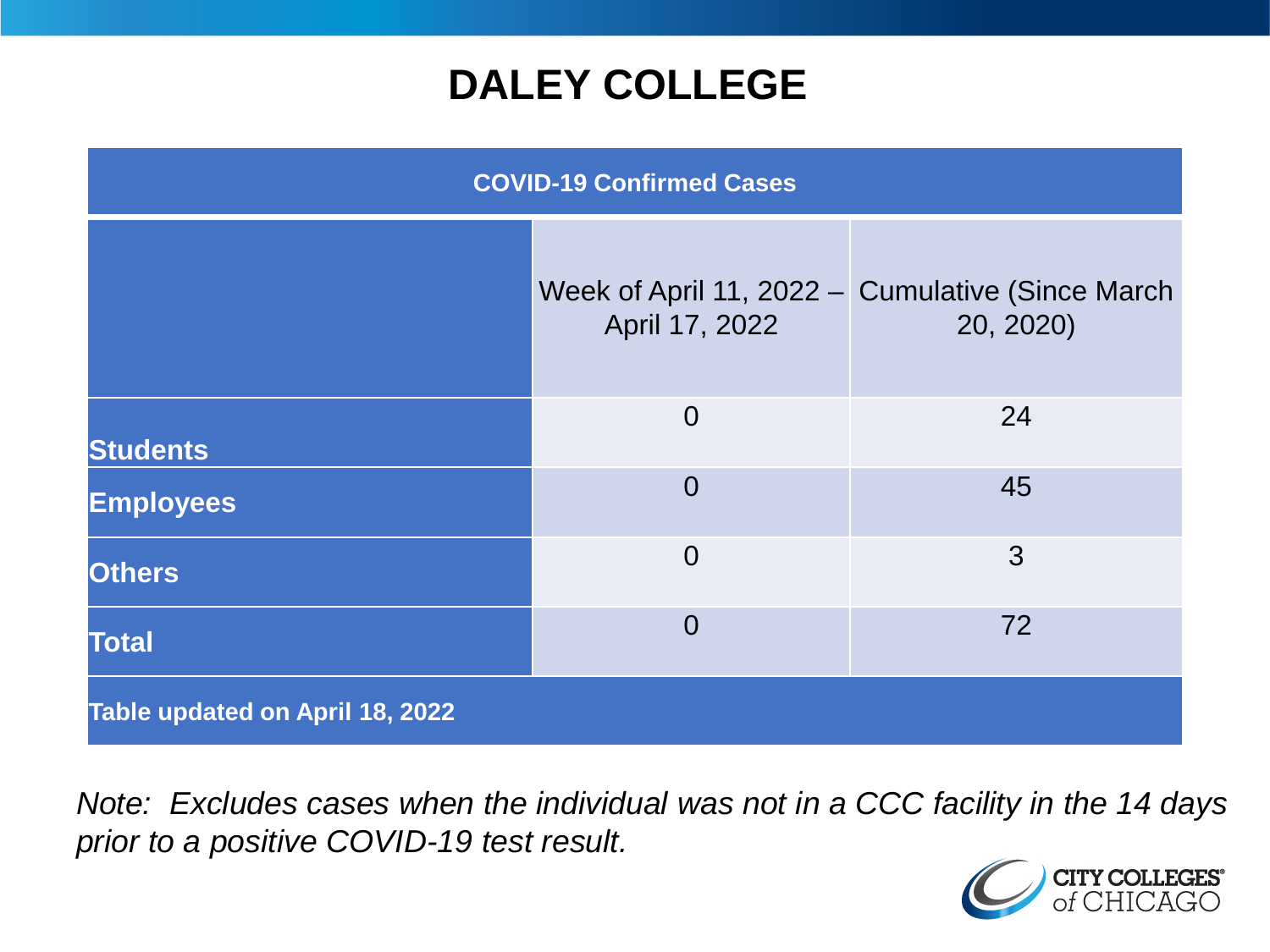### **DALEY COLLEGE**

| <b>COVID-19 Confirmed Cases</b> |                |                                                               |
|---------------------------------|----------------|---------------------------------------------------------------|
|                                 | April 17, 2022 | Week of April 11, 2022 - Cumulative (Since March<br>20, 2020) |
| <b>Students</b>                 | $\overline{0}$ | 24                                                            |
| <b>Employees</b>                | $\overline{0}$ | 45                                                            |
| <b>Others</b>                   | $\overline{0}$ | 3                                                             |
| <b>Total</b>                    | $\overline{0}$ | 72                                                            |
| Table updated on April 18, 2022 |                |                                                               |

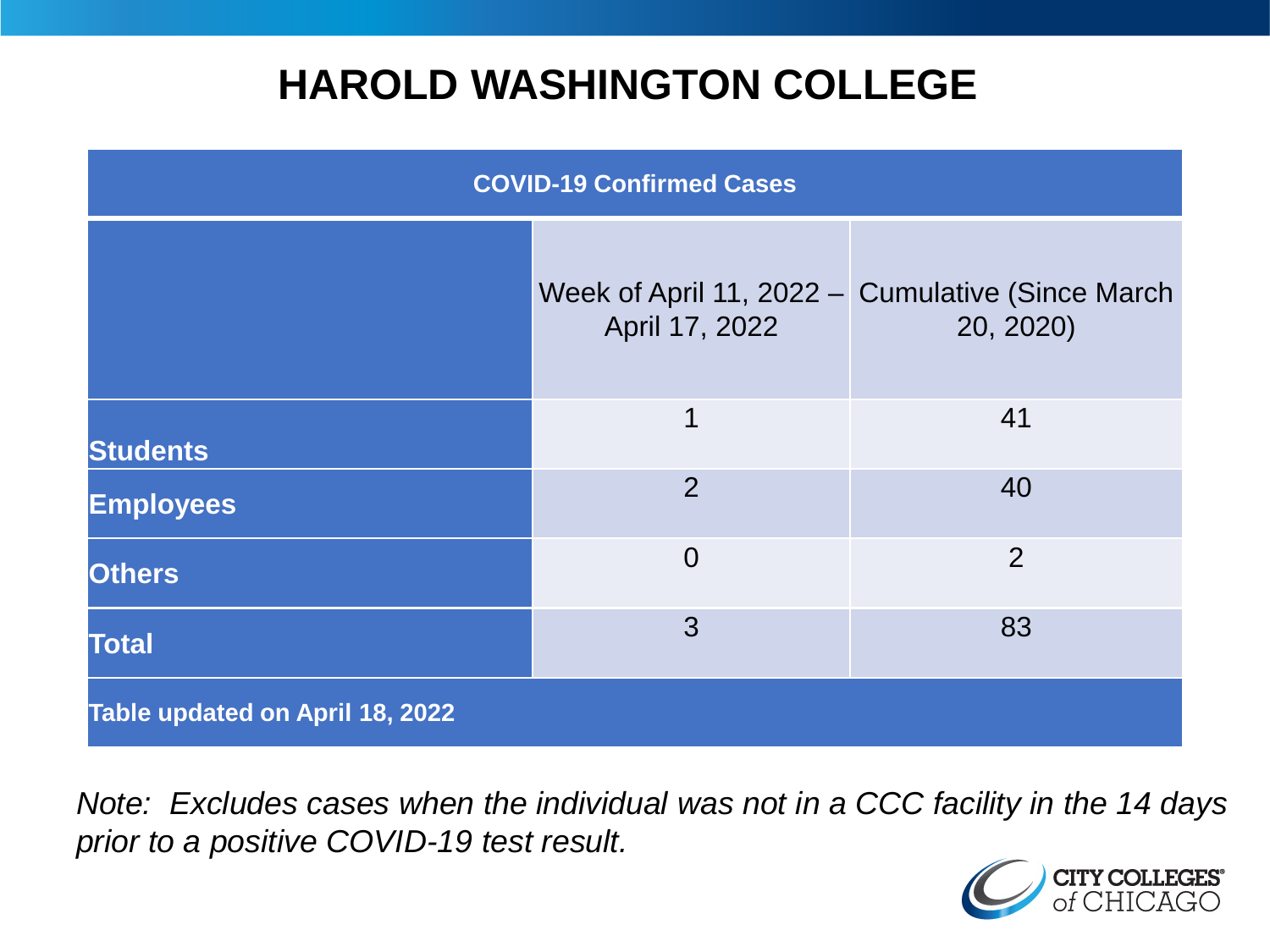### **HAROLD WASHINGTON COLLEGE**

| <b>COVID-19 Confirmed Cases</b> |                |                                                               |
|---------------------------------|----------------|---------------------------------------------------------------|
|                                 | April 17, 2022 | Week of April 11, 2022 – Cumulative (Since March<br>20, 2020) |
| <b>Students</b>                 | 1              | 41                                                            |
| <b>Employees</b>                | $\overline{2}$ | 40                                                            |
| <b>Others</b>                   | $\overline{0}$ | $\overline{2}$                                                |
| <b>Total</b>                    | 3              | 83                                                            |
| Table updated on April 18, 2022 |                |                                                               |

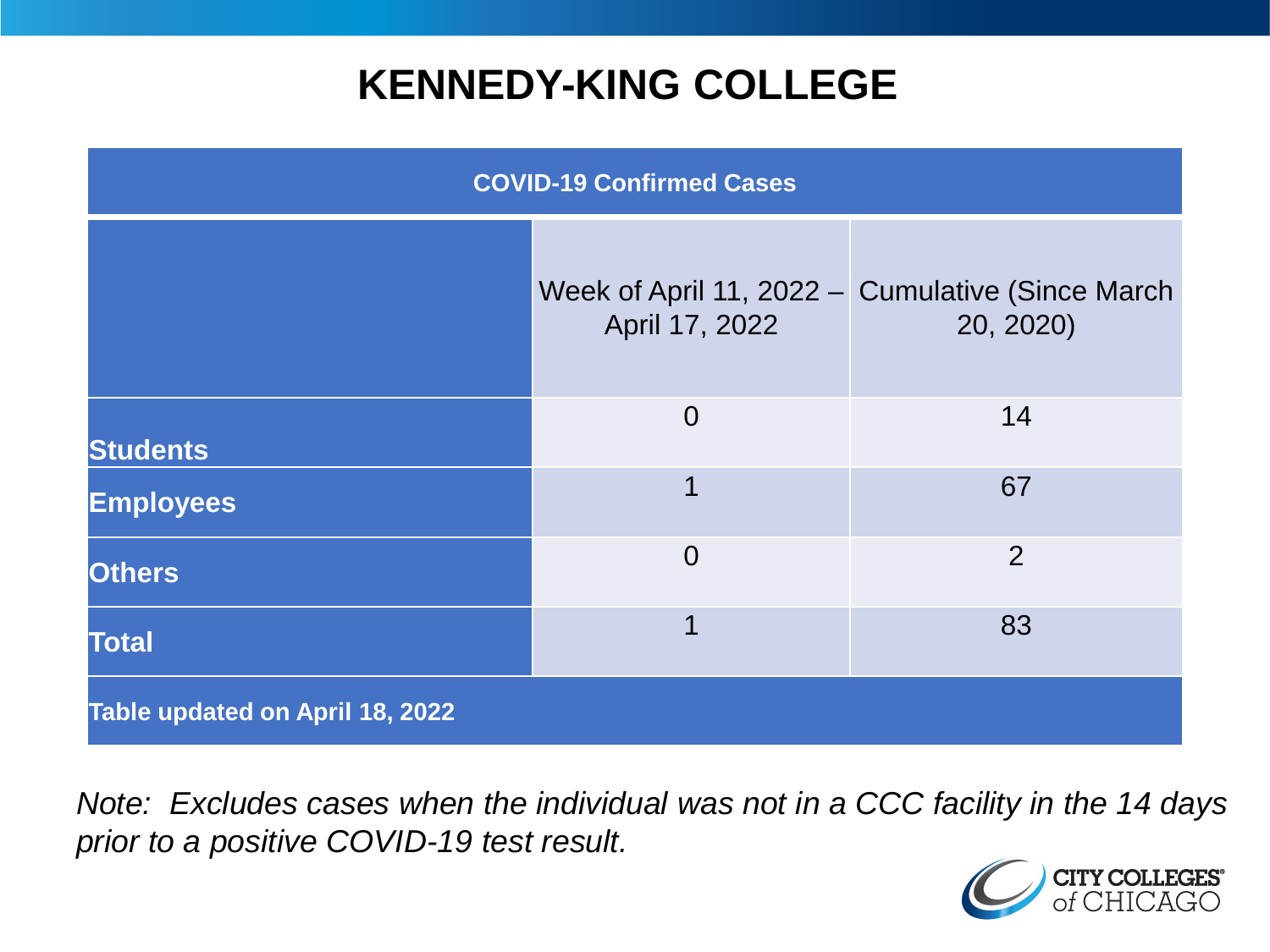### **KENNEDY-KING COLLEGE**

| <b>COVID-19 Confirmed Cases</b> |                |                                                               |
|---------------------------------|----------------|---------------------------------------------------------------|
|                                 | April 17, 2022 | Week of April 11, 2022 - Cumulative (Since March<br>20, 2020) |
| <b>Students</b>                 | $\overline{0}$ | 14                                                            |
| <b>Employees</b>                | 1              | 67                                                            |
| <b>Others</b>                   | $\overline{0}$ | 2                                                             |
| <b>Total</b>                    | 1              | 83                                                            |
| Table updated on April 18, 2022 |                |                                                               |

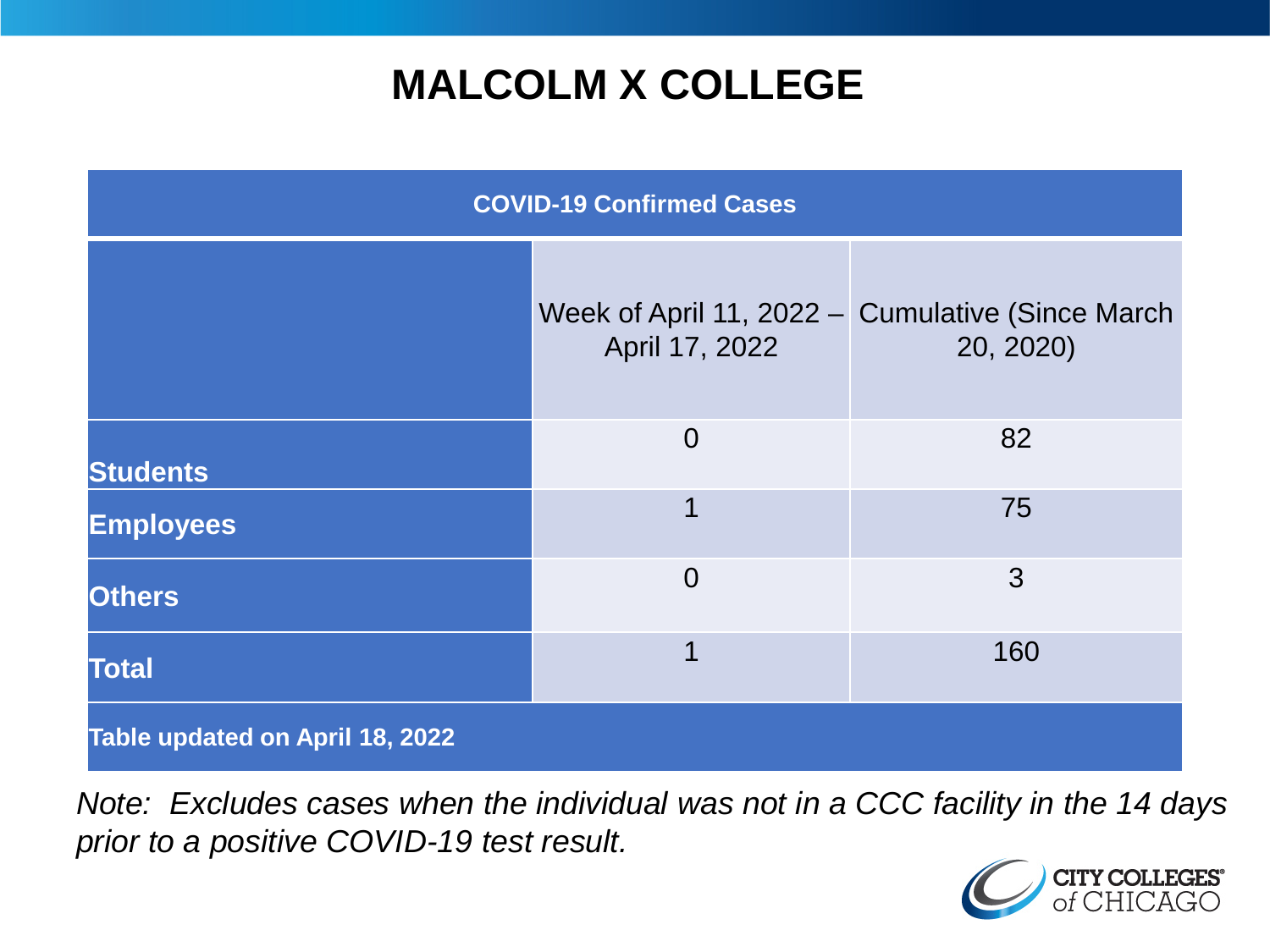## **MALCOLM X COLLEGE**

| <b>COVID-19 Confirmed Cases</b> |                |                                                               |
|---------------------------------|----------------|---------------------------------------------------------------|
|                                 | April 17, 2022 | Week of April 11, 2022 - Cumulative (Since March<br>20, 2020) |
| <b>Students</b>                 | $\overline{0}$ | 82                                                            |
| <b>Employees</b>                | 1              | 75                                                            |
| <b>Others</b>                   | $\overline{0}$ | 3                                                             |
| <b>Total</b>                    | 1              | 160                                                           |
| Table updated on April 18, 2022 |                |                                                               |

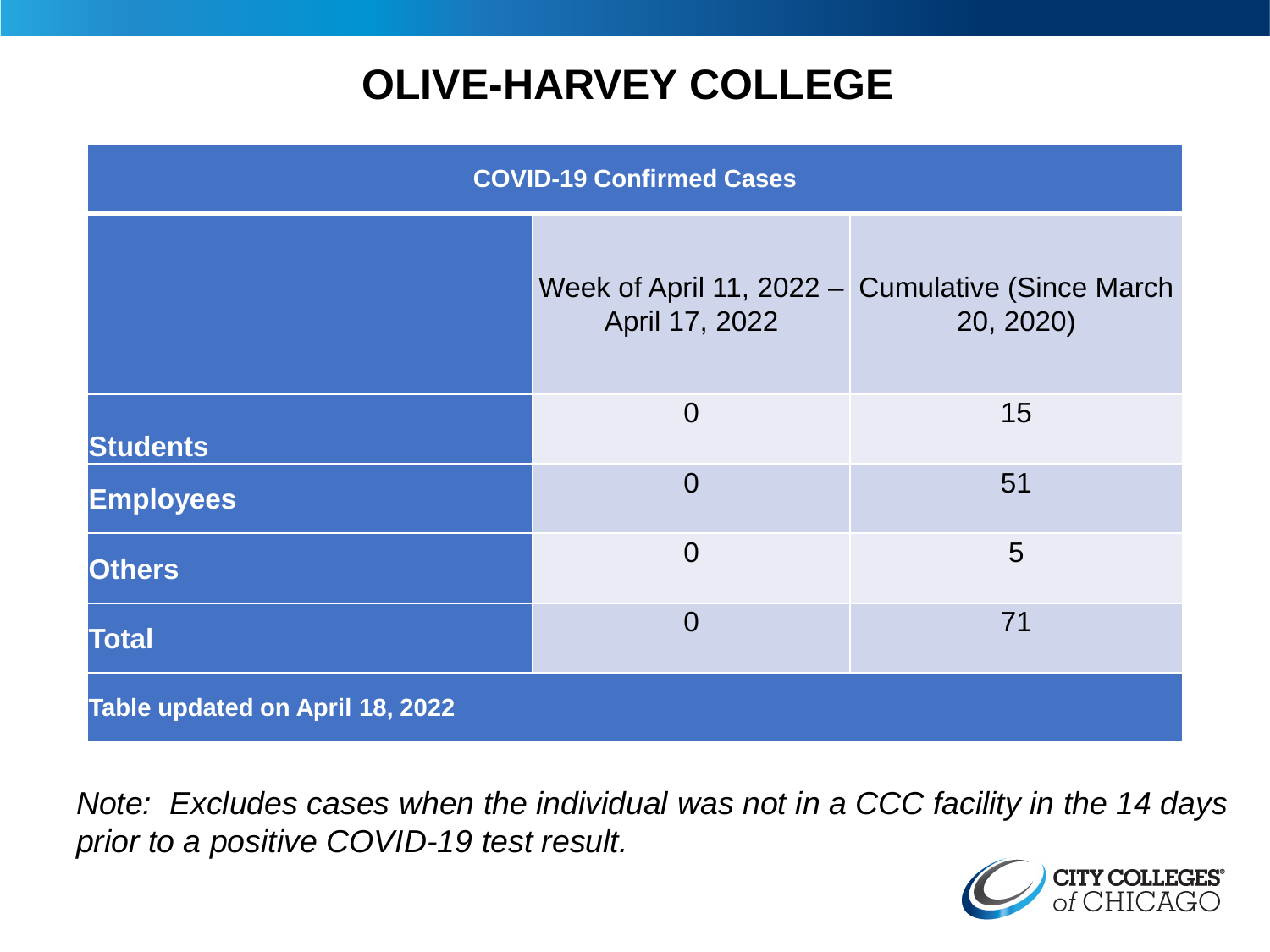# **OLIVE-HARVEY COLLEGE**

| <b>COVID-19 Confirmed Cases</b> |                |                                                               |
|---------------------------------|----------------|---------------------------------------------------------------|
|                                 | April 17, 2022 | Week of April 11, 2022 - Cumulative (Since March<br>20, 2020) |
| <b>Students</b>                 | $\overline{0}$ | 15                                                            |
| <b>Employees</b>                | $\Omega$       | 51                                                            |
| <b>Others</b>                   | $\overline{0}$ | 5                                                             |
| <b>Total</b>                    | $\Omega$       | 71                                                            |
| Table updated on April 18, 2022 |                |                                                               |

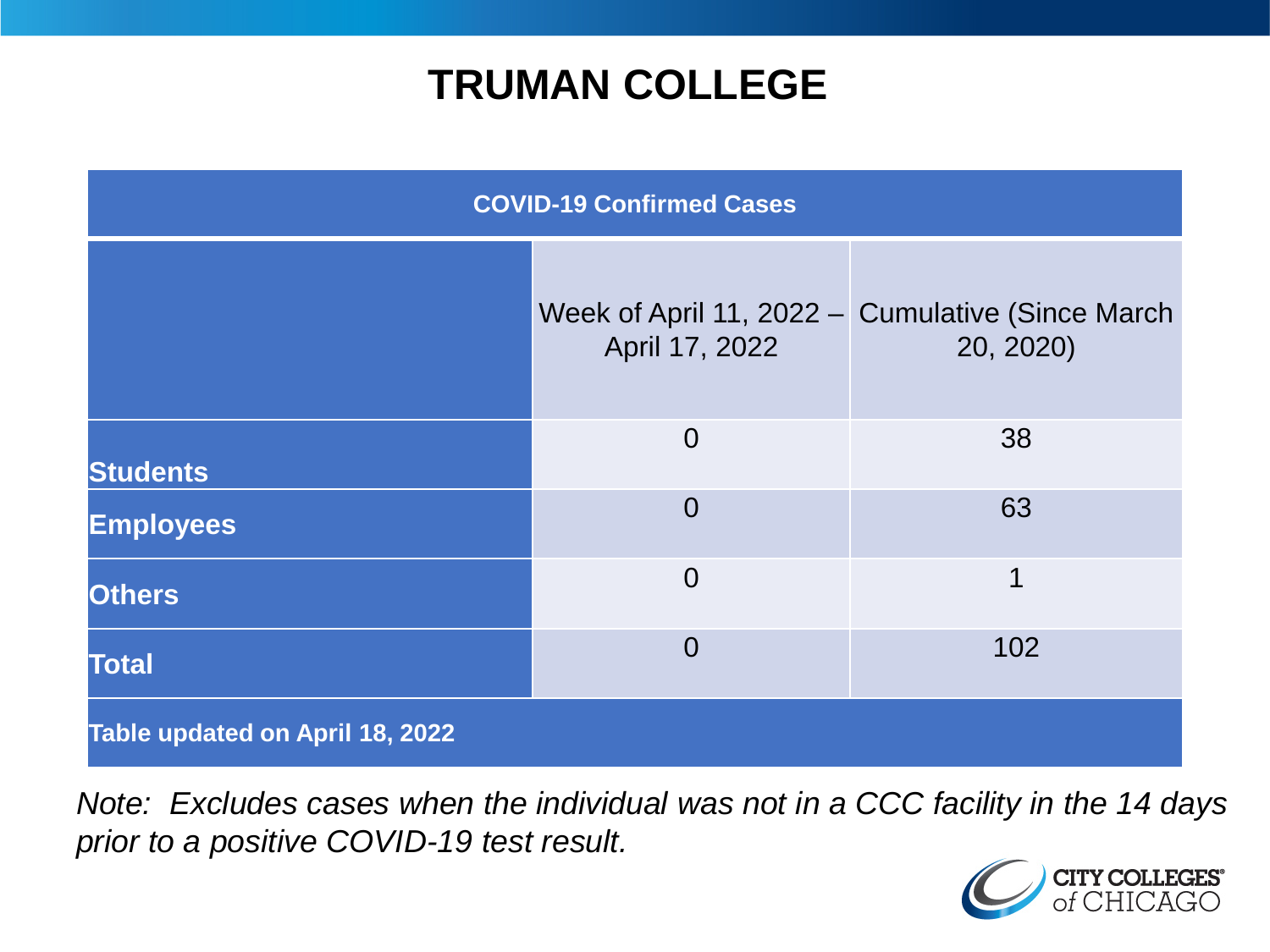### **TRUMAN COLLEGE**

| <b>COVID-19 Confirmed Cases</b> |                |                                                               |
|---------------------------------|----------------|---------------------------------------------------------------|
|                                 | April 17, 2022 | Week of April 11, 2022 - Cumulative (Since March<br>20, 2020) |
| <b>Students</b>                 | $\overline{0}$ | 38                                                            |
| <b>Employees</b>                | $\overline{0}$ | 63                                                            |
| <b>Others</b>                   | $\overline{0}$ | 1                                                             |
| <b>Total</b>                    | $\overline{0}$ | 102                                                           |
| Table updated on April 18, 2022 |                |                                                               |

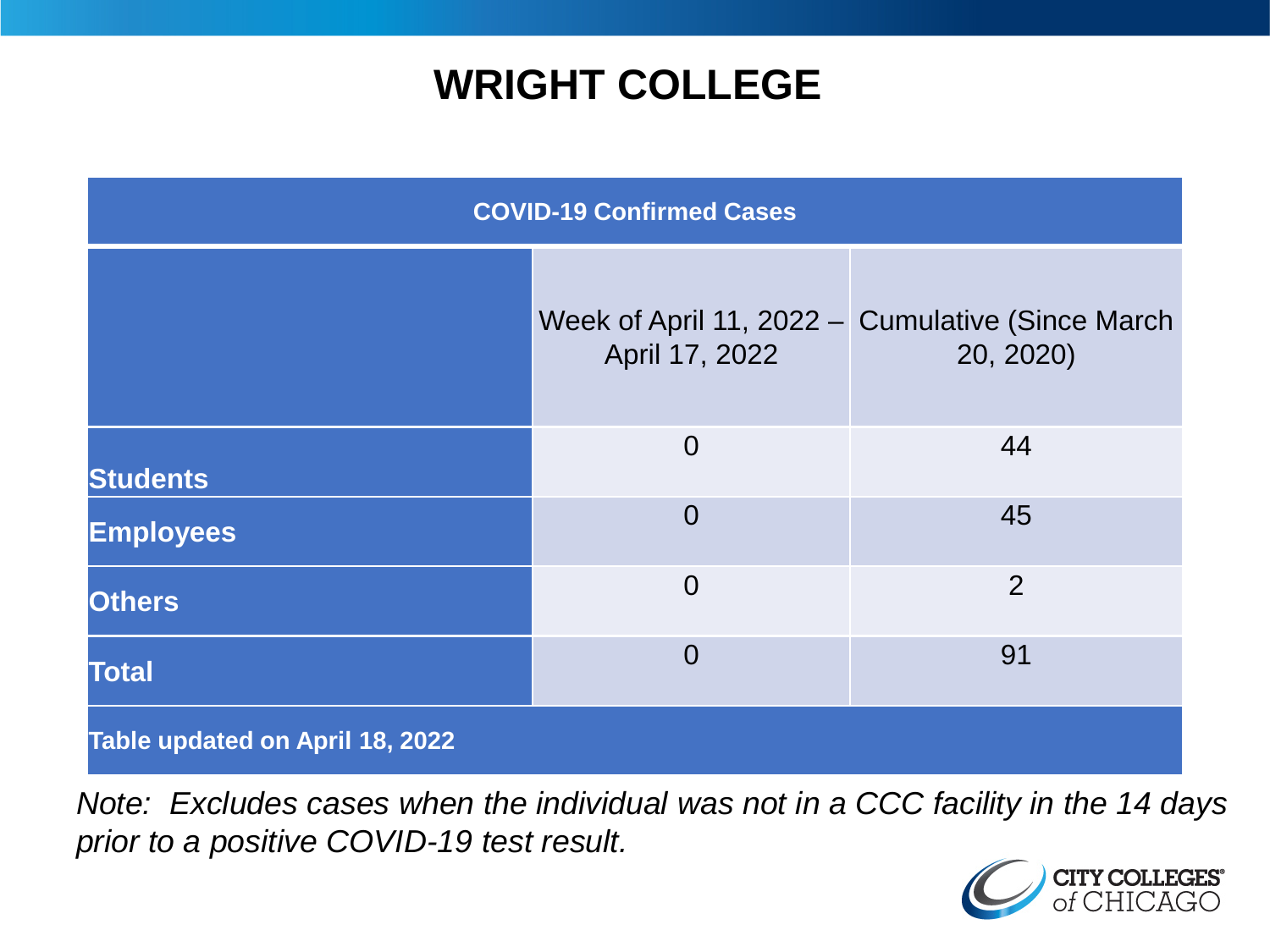### **WRIGHT COLLEGE**

| <b>COVID-19 Confirmed Cases</b> |                |                                                               |
|---------------------------------|----------------|---------------------------------------------------------------|
|                                 | April 17, 2022 | Week of April 11, 2022 - Cumulative (Since March<br>20, 2020) |
| <b>Students</b>                 | $\overline{0}$ | 44                                                            |
| <b>Employees</b>                | $\overline{0}$ | 45                                                            |
| <b>Others</b>                   | $\overline{0}$ | $\overline{2}$                                                |
| <b>Total</b>                    | $\overline{0}$ | 91                                                            |
| Table updated on April 18, 2022 |                |                                                               |

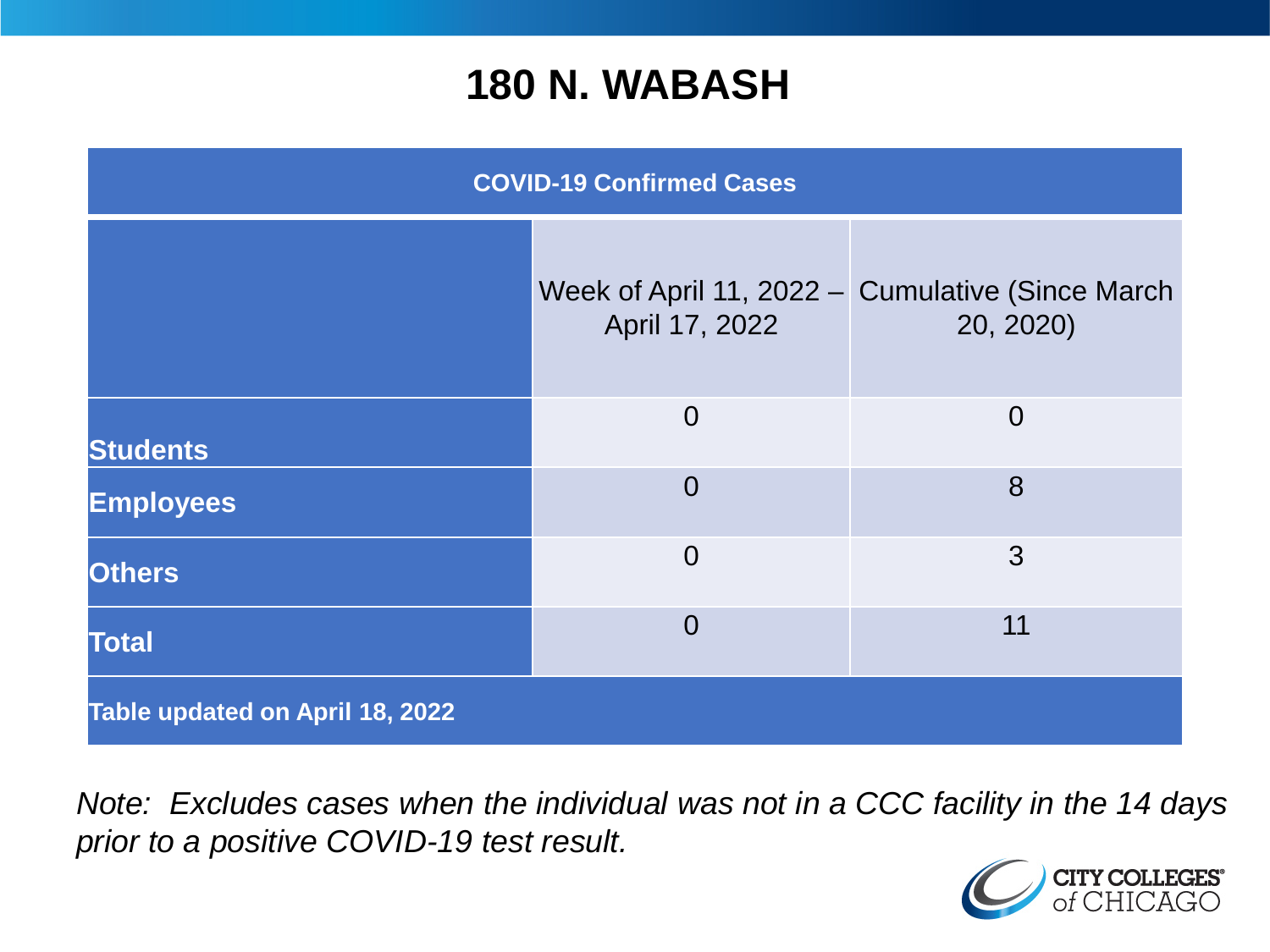#### **180 N. WABASH**

| <b>COVID-19 Confirmed Cases</b> |                |                                                               |
|---------------------------------|----------------|---------------------------------------------------------------|
|                                 | April 17, 2022 | Week of April 11, 2022 – Cumulative (Since March<br>20, 2020) |
| <b>Students</b>                 | $\overline{0}$ | $\overline{0}$                                                |
| <b>Employees</b>                | $\Omega$       | 8                                                             |
| <b>Others</b>                   | $\overline{0}$ | 3                                                             |
| <b>Total</b>                    | $\Omega$       | 11                                                            |
| Table updated on April 18, 2022 |                |                                                               |